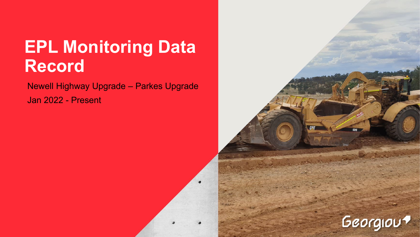# **EPL Monitoring Data Record**

Newell Highway Upgrade – Parkes Upgrade Jan 2022 - Present

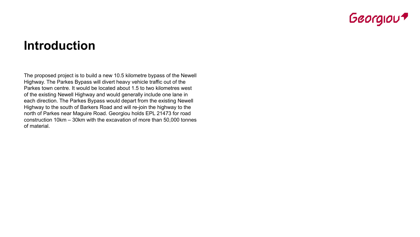

## **Introduction**

The proposed project is to build a new 10.5 kilometre bypass of the Newell Highway. The Parkes Bypass will divert heavy vehicle traffic out of the Parkes town centre. It would be located about 1.5 to two kilometres west of the existing Newell Highway and would generally include one lane in each direction. The Parkes Bypass would depart from the existing Newell Highway to the south of Barkers Road and will re-join the highway to the north of Parkes near Maguire Road. Georgiou holds EPL 21473 for road construction 10km – 30km with the excavation of more than 50,000 tonnes of material.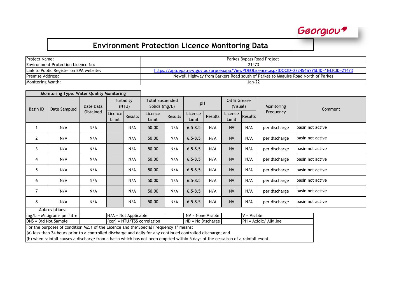| <b>Project Name:</b>                      | Parkes Bypass Road Project                                                                  |
|-------------------------------------------|---------------------------------------------------------------------------------------------|
| <b>Environment Protection Licence No:</b> | 21473                                                                                       |
| Link to Public Register on EPA website:   | https://app.epa.nsw.gov.au/prpoeoapp/ViewPOEOLicence.aspx?DOCID=232454&SYSUID=1&LICID=21473 |
| <b>Premise Address:</b>                   | Newell Highway from Barkers Road south of Parkes to Maguire Road North of Parkes            |
| <b>Monitoring Month:</b>                  | Jan-22                                                                                      |

|                      | <b>Monitoring Type: Water Quality Monitoring</b> |           |                         |                                                               |                             |                                     |                   |         |                          |         |                       |                   |  |
|----------------------|--------------------------------------------------|-----------|-------------------------|---------------------------------------------------------------|-----------------------------|-------------------------------------|-------------------|---------|--------------------------|---------|-----------------------|-------------------|--|
| <b>Basin ID</b>      | Date Sampled                                     | Date Data |                         | <b>Total Suspended</b><br>Turbidity<br>Solids (mg/L)<br>(NTU) |                             |                                     | pH                |         | Oil & Grease<br>(Visual) |         | Monitoring            | Comment           |  |
|                      |                                                  | Obtained  | <b>Licence</b><br>Limit | Results                                                       | Licence<br>Limit            | Results                             | Licence<br>Limit  | Results | Licence<br>Limit         | Results | Frequency             |                   |  |
|                      | N/A                                              | N/A       |                         | N/A                                                           | 50.00                       | N/A                                 | $6.5 - 8.5$       | N/A     | <b>NV</b>                | N/A     | per discharge         | basin not active  |  |
| 2                    | N/A                                              | N/A       |                         | N/A                                                           | 50.00                       | N/A                                 | $6.5 - 8.5$       | N/A     | <b>NV</b>                | N/A     | per discharge         | Ibasin not active |  |
| 3                    | N/A                                              | N/A       |                         | N/A                                                           | 50.00                       | N/A                                 | $6.5 - 8.5$       | N/A     | <b>NV</b>                | N/A     | per discharge         | basin not active  |  |
| 4                    | N/A                                              | N/A       |                         | N/A                                                           | 50.00                       | N/A                                 | $6.5 - 8.5$       | N/A     | <b>NV</b>                | N/A     | per discharge         | basin not active  |  |
| 5                    | N/A                                              | N/A       |                         | N/A                                                           | 50.00                       | N/A                                 | $6.5 - 8.5$       | N/A     | <b>NV</b>                | N/A     | per discharge         | basin not active  |  |
| 6                    | N/A                                              | N/A       |                         | N/A                                                           | 50.00                       | N/A                                 | $6.5 - 8.5$       | N/A     | <b>NV</b>                | N/A     | per discharge         | basin not active  |  |
| 7                    | N/A                                              | N/A       |                         | N/A                                                           | 50.00                       | N/A                                 | $6.5 - 8.5$       | N/A     | <b>NV</b>                | N/A     | per discharge         | basin not active  |  |
| 8                    | N/A                                              | N/A       |                         | N/A                                                           | 50.00                       | N/A                                 | $6.5 - 8.5$       | N/A     | <b>NV</b>                | N/A     | per discharge         | Ibasin not active |  |
|                      | Abbreviations:                                   |           |                         |                                                               |                             |                                     |                   |         |                          |         |                       |                   |  |
|                      | $mg/L =$ Milligrams per litre                    |           |                         | $N/A = Not Applicable$                                        |                             | NV = None Visible<br>$V = V$ isible |                   |         |                          |         |                       |                   |  |
| DNS = Did Not Sample |                                                  |           |                         |                                                               | (cor) = NTU/TSS correlation |                                     | ND = No Discharge |         |                          |         | PH = Acidic/ Alkiline |                   |  |

For the purposes of condition M2.1 of the Licence and the'Special Frequency 1' means:

(a) less than 24 hours prior to a controlled discharge and daily for any continued controlled discharge; and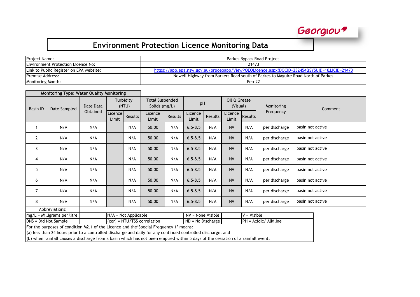| Project Name:                           | Parkes Bypass Road Project                                                                  |
|-----------------------------------------|---------------------------------------------------------------------------------------------|
| Environment Protection Licence No:      | 21473                                                                                       |
| Link to Public Register on EPA website: | https://app.epa.nsw.gov.au/prpoeoapp/ViewPOEOLicence.aspx?DOCID=232454&SYSUID=1&LICID=21473 |
| <b>Premise Address:</b>                 | Newell Highway from Barkers Road south of Parkes to Maguire Road North of Parkes            |
| Monitoring Month:                       | Feb-22                                                                                      |

| <b>Monitoring Type: Water Quality Monitoring</b> |                                                         |          |                    |                                         |                                 |         |                     |                          |                  |                |                       |                   |  |
|--------------------------------------------------|---------------------------------------------------------|----------|--------------------|-----------------------------------------|---------------------------------|---------|---------------------|--------------------------|------------------|----------------|-----------------------|-------------------|--|
| <b>Basin ID</b><br>Date Sampled                  | Date Data                                               |          | Turbidity<br>(NTU) | <b>Total Suspended</b><br>Solids (mg/L) |                                 | pH      |                     | Oil & Grease<br>(Visual) |                  | Monitoring     | Comment               |                   |  |
|                                                  |                                                         | Obtained | Licence<br>Limit   | Results                                 | Licence<br>Limit                | Results | Licence<br>Limit    | Results                  | Licence<br>Limit | <b>Results</b> | Frequency             |                   |  |
|                                                  | N/A                                                     | N/A      |                    | N/A                                     | 50.00                           | N/A     | $6.5 - 8.5$         | N/A                      | <b>NV</b>        | N/A            | per discharge         | basin not active  |  |
| 2                                                | N/A                                                     | N/A      |                    | N/A                                     | 50.00                           | N/A     | $6.5 - 8.5$         | N/A                      | <b>NV</b>        | N/A            | per discharge         | basin not active  |  |
| 3                                                | N/A                                                     | N/A      |                    | N/A                                     | 50.00                           | N/A     | $6.5 - 8.5$         | N/A                      | <b>NV</b>        | N/A            | per discharge         | basin not active  |  |
| 4                                                | N/A                                                     | N/A      |                    | N/A                                     | 50.00                           | N/A     | $6.5 - 8.5$         | N/A                      | <b>NV</b>        | N/A            | per discharge         | Ibasin not active |  |
| 5                                                | N/A                                                     | N/A      |                    | N/A                                     | 50.00                           | N/A     | $6.5 - 8.5$         | N/A                      | <b>NV</b>        | N/A            | per discharge         | Ibasin not active |  |
| 6                                                | N/A                                                     | N/A      |                    | N/A                                     | 50.00                           | N/A     | $6.5 - 8.5$         | N/A                      | <b>NV</b>        | N/A            | per discharge         | basin not active  |  |
| 7                                                | N/A                                                     | N/A      |                    | N/A                                     | 50.00                           | N/A     | $6.5 - 8.5$         | N/A                      | <b>NV</b>        | N/A            | per discharge         | Ibasin not active |  |
| 8                                                | N/A                                                     | N/A      |                    | N/A                                     | 50.00                           | N/A     | $6.5 - 8.5$         | N/A                      | <b>NV</b>        | N/A            | per discharge         | Ibasin not active |  |
|                                                  | Abbreviations:                                          |          |                    |                                         |                                 |         |                     |                          |                  |                |                       |                   |  |
|                                                  | $N/A = Not Applicable$<br>$mg/L =$ Milligrams per litre |          |                    |                                         |                                 |         | NV = None Visible   |                          |                  | $V = V$ isible |                       |                   |  |
| DNS = Did Not Sample                             |                                                         |          |                    |                                         | $  (cor) = NTU/TSS correlation$ |         | $ND = No Discharge$ |                          |                  |                | PH = Acidic/ Alkiline |                   |  |

For the purposes of condition M2.1 of the Licence and the'Special Frequency 1' means:

(a) less than 24 hours prior to a controlled discharge and daily for any continued controlled discharge; and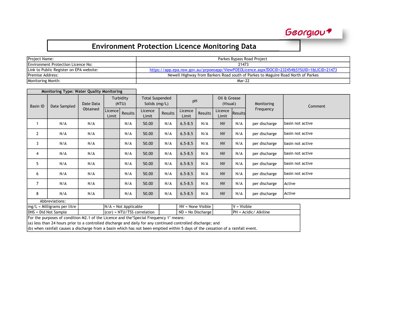| <b>Project Name:</b>                       | Parkes Bypass Road Project                                                                  |
|--------------------------------------------|---------------------------------------------------------------------------------------------|
| <b>IEnvironment Protection Licence No:</b> | 21473                                                                                       |
| Link to Public Register on EPA website:    | https://app.epa.nsw.gov.au/prpoeoapp/ViewPOEOLicence.aspx?DOCID=232454&SYSUID=1&LICID=21473 |
| <b>Premise Address:</b>                    | Newell Highway from Barkers Road south of Parkes to Maguire Road North of Parkes            |
| <b>Monitoring Month:</b>                   | Mar-22                                                                                      |

| <b>Monitoring Type: Water Quality Monitoring</b> |                |           |                  |                    |                                                                                |     |             |           |                          |     |               |                   |  |
|--------------------------------------------------|----------------|-----------|------------------|--------------------|--------------------------------------------------------------------------------|-----|-------------|-----------|--------------------------|-----|---------------|-------------------|--|
| <b>Basin ID</b>                                  | Date Sampled   | Date Data |                  | Turbidity<br>(NTU) | <b>Total Suspended</b><br>Solids (mg/L)                                        |     | pH          |           | Oil & Grease<br>(Visual) |     | Monitoring    | Comment           |  |
|                                                  |                | Obtained  | Licence<br>Limit | Results            | Licence<br>Licence<br>Licence<br>Results<br>Results<br>Limit<br>Limit<br>Limit |     | Results     | Frequency |                          |     |               |                   |  |
|                                                  | N/A            | N/A       |                  | N/A                | 50.00                                                                          | N/A | $6.5 - 8.5$ | N/A       | <b>NV</b>                | N/A | per discharge | lbasin not active |  |
| $\mathbf{2}$                                     | N/A            | N/A       |                  | N/A                | 50.00                                                                          | N/A | $6.5 - 8.5$ | N/A       | <b>NV</b>                | N/A | per discharge | lbasin not active |  |
| 3                                                | N/A            | N/A       |                  | N/A                | 50.00                                                                          | N/A | $6.5 - 8.5$ | N/A       | <b>NV</b>                | N/A | per discharge | lbasin not active |  |
| 4                                                | N/A            | N/A       |                  | N/A                | 50.00                                                                          | N/A | $6.5 - 8.5$ | N/A       | <b>NV</b>                | N/A | per discharge | basin not active  |  |
| 5                                                | N/A            | N/A       |                  | N/A                | 50.00                                                                          | N/A | $6.5 - 8.5$ | N/A       | <b>NV</b>                | N/A | per discharge | basin not active  |  |
| 6                                                | N/A            | N/A       |                  | N/A                | 50.00                                                                          | N/A | $6.5 - 8.5$ | N/A       | <b>NV</b>                | N/A | per discharge | basin not active  |  |
| $\overline{7}$                                   | N/A            | N/A       |                  | N/A                | 50.00                                                                          | N/A | $6.5 - 8.5$ | N/A       | <b>NV</b>                | N/A | per discharge | Active            |  |
| 8                                                | N/A            | N/A       |                  | N/A                | 50.00                                                                          | N/A | $6.5 - 8.5$ | N/A       | <b>NV</b>                | N/A | per discharge | Active            |  |
|                                                  | Abbreviations: |           |                  |                    |                                                                                |     |             |           |                          |     |               |                   |  |

 $\boxed{\text{mg/L = Milligrams per litre}}$   $\boxed{\text{N/A = Not Appliedble}}$   $\boxed{\text{NV = None Visible}}$   $\boxed{\text{V = Visible}}$   $\boxed{\text{V = Visible}}$   $\boxed{\text{DNS = Did Not Sample}}$   $\boxed{\text{R}}$  $\overline{Q}$  = NTU/TSS correlation  $\overline{Q}$  ND = No Discharge

For the purposes of condition M2.1 of the Licence and the'Special Frequency 1' means:

 $\vert$ (a) less than 24 hours prior to a controlled discharge and daily for any continued controlled discharge; and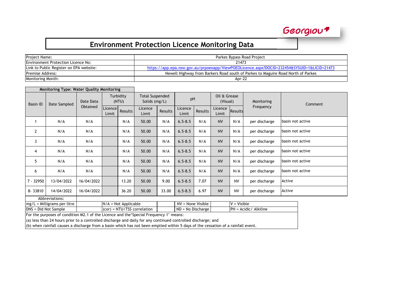### Georgiou

#### **Environment Protection Licence Monitoring Data**

| Project Name:                             | Parkes Bypass Road Project                                                                  |
|-------------------------------------------|---------------------------------------------------------------------------------------------|
| <b>Environment Protection Licence No:</b> | 21473                                                                                       |
| Link to Public Register on EPA website:   | https://app.epa.nsw.gov.au/prpoeoapp/ViewPOEOLicence.aspx?DOCID=232454&SYSUID=1&LICID=21473 |
| <b>Premise Address:</b>                   | Newell Highway from Barkers Road south of Parkes to Maguire Road North of Parkes            |
| Monitoring Month:                         | Apr-22                                                                                      |

| <b>Monitoring Type: Water Quality Monitoring</b> |                                                                                                |            |                  |                    |                                         |         |                     |         |                          |                |                       |                  |  |
|--------------------------------------------------|------------------------------------------------------------------------------------------------|------------|------------------|--------------------|-----------------------------------------|---------|---------------------|---------|--------------------------|----------------|-----------------------|------------------|--|
| <b>Basin ID</b>                                  | Date Sampled                                                                                   | Date Data  |                  | Turbidity<br>(NTU) | <b>Total Suspended</b><br>Solids (mg/L) |         | pH                  |         | Oil & Grease<br>(Visual) |                | Monitoring            | Comment          |  |
|                                                  |                                                                                                | Obtained   | Licence<br>Limit | Results            | Licence<br>Limit                        | Results | Licence<br>Limit    | Results | Licence<br>Limit         | <b>Results</b> | Frequency             |                  |  |
|                                                  | N/A                                                                                            | N/A        |                  | N/A                | 50.00                                   | N/A     | $6.5 - 8.5$         | N/A     | <b>NV</b>                | N/A            | per discharge         | basin not active |  |
| 2                                                | N/A                                                                                            | N/A        |                  | N/A                | 50.00                                   | N/A     | $6.5 - 8.5$         | N/A     | <b>NV</b>                | N/A            | per discharge         | basin not active |  |
| 3                                                | N/A                                                                                            | N/A        |                  | N/A                | 50.00                                   | N/A     | $6.5 - 8.5$         | N/A     | <b>NV</b>                | N/A            | per discharge         | basin not active |  |
| 4                                                | N/A                                                                                            | N/A        |                  | N/A                | 50.00                                   | N/A     | $6.5 - 8.5$         | N/A     | <b>NV</b>                | N/A            | per discharge         | basin not active |  |
| 5                                                | N/A                                                                                            | N/A        |                  | N/A                | 50.00                                   | N/A     | $6.5 - 8.5$         | N/A     | <b>NV</b>                | N/A            | per discharge         | basin not active |  |
| 6                                                | N/A                                                                                            | N/A        |                  | N/A                | 50.00                                   | N/A     | $6.5 - 8.5$         | N/A     | <b>NV</b>                | N/A            | per discharge         | basin not active |  |
| $7 - 32950$                                      | 13/04/2022                                                                                     | 16/04/2022 |                  | 13.20              | 50.00                                   | 9.00    | $6.5 - 8.5$         | 7.07    | <b>NV</b>                | <b>NV</b>      | per discharge         | Active           |  |
| 8-33810                                          | 14/04/2022                                                                                     | 16/04/2022 |                  | 36.20              | 50.00                                   | 33.00   | $6.5 - 8.5$         | 6.97    | <b>NV</b>                | <b>NV</b>      | per discharge         | Active           |  |
|                                                  | Abbreviations:                                                                                 |            |                  |                    |                                         |         |                     |         |                          |                |                       |                  |  |
|                                                  | $V = V$ isible<br>$NV = None$ Visible<br>$N/A$ = Not Applicable<br>mg/L = Milligrams per litre |            |                  |                    |                                         |         |                     |         |                          |                |                       |                  |  |
| DNS = Did Not Sample                             |                                                                                                |            |                  |                    | (cor) = NTU/TSS correlation             |         | $ND = No$ Discharge |         |                          |                | PH = Acidic/ Alkiline |                  |  |

For the purposes of condition M2.1 of the Licence and the'Special Frequency 1' means:

(a) less than 24 hours prior to a controlled discharge and daily for any continued controlled discharge; and